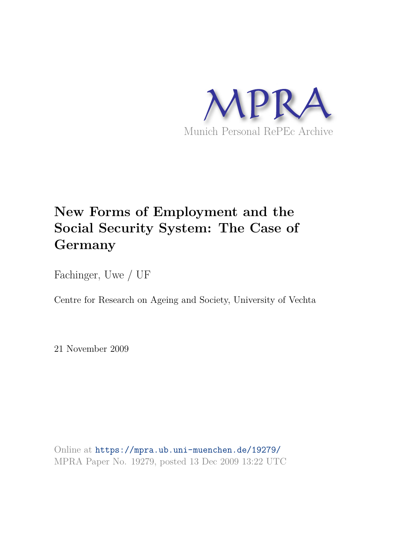

# **New Forms of Employment and the Social Security System: The Case of Germany**

Fachinger, Uwe / UF

Centre for Research on Ageing and Society, University of Vechta

21 November 2009

Online at https://mpra.ub.uni-muenchen.de/19279/ MPRA Paper No. 19279, posted 13 Dec 2009 13:22 UTC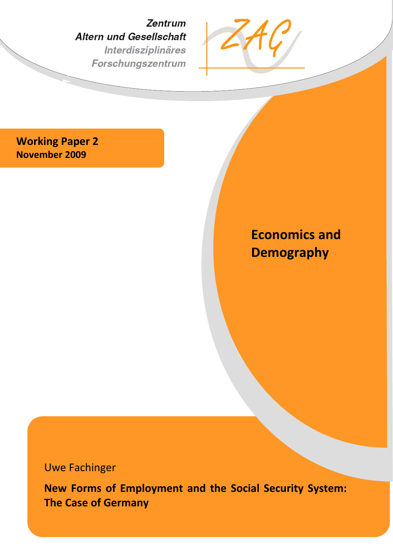Zentrum **Altern und Gesellschaft** Interdisziplinäres Forschungszentrum



**Working Paper 2 November 2009** 

# **Economics and Demography**

Uwe Fachinger

**New Forms of Employment and the Social Security System: The Case of Germany**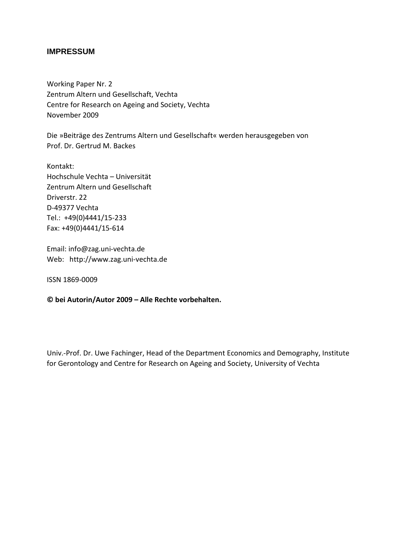#### **IMPRESSUM**

Working Paper Nr. 2 Zentrum Altern und Gesellschaft, Vechta Centre for Research on Ageing and Society, Vechta November 2009

Die »Beiträge des Zentrums Altern und Gesellschaft« werden herausgegeben von Prof. Dr. Gertrud M. Backes

Kontakt: Hochschule Vechta – Universität Zentrum Altern und Gesellschaft Driverstr. 22 D-49377 Vechta Tel.: +49(0)4441/15-233 Fax: +49(0)4441/15-614

Email: info@zag.uni-vechta.de Web: http://www.zag.uni-vechta.de

ISSN 1869-0009

**© bei Autorin/Autor 2009 – Alle Rechte vorbehalten.**

Univ.-Prof. Dr. Uwe Fachinger, Head of the Department Economics and Demography, Institute for Gerontology and Centre for Research on Ageing and Society, University of Vechta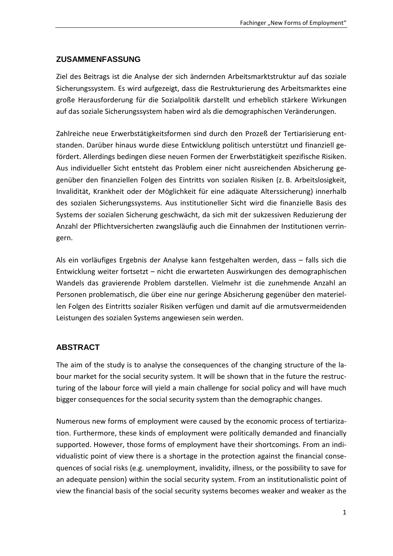#### **ZUSAMMENFASSUNG**

Ziel des Beitrags ist die Analyse der sich ändernden Arbeitsmarktstruktur auf das soziale Sicherungssystem. Es wird aufgezeigt, dass die Restrukturierung des Arbeitsmarktes eine große Herausforderung für die Sozialpolitik darstellt und erheblich stärkere Wirkungen auf das soziale Sicherungssystem haben wird als die demographischen Veränderungen.

Zahlreiche neue Erwerbstätigkeitsformen sind durch den Prozeß der Tertiarisierung entstanden. Darüber hinaus wurde diese Entwicklung politisch unterstützt und finanziell gefördert. Allerdings bedingen diese neuen Formen der Erwerbstätigkeit spezifische Risiken. Aus individueller Sicht entsteht das Problem einer nicht ausreichenden Absicherung gegenüber den finanziellen Folgen des Eintritts von sozialen Risiken (z. B. Arbeitslosigkeit, Invalidität, Krankheit oder der Möglichkeit für eine adäquate Alterssicherung) innerhalb des sozialen Sicherungssystems. Aus institutioneller Sicht wird die finanzielle Basis des Systems der sozialen Sicherung geschwächt, da sich mit der sukzessiven Reduzierung der Anzahl der Pflichtversicherten zwangsläufig auch die Einnahmen der Institutionen verringern.

Als ein vorläufiges Ergebnis der Analyse kann festgehalten werden, dass – falls sich die Entwicklung weiter fortsetzt – nicht die erwarteten Auswirkungen des demographischen Wandels das gravierende Problem darstellen. Vielmehr ist die zunehmende Anzahl an Personen problematisch, die über eine nur geringe Absicherung gegenüber den materiellen Folgen des Eintritts sozialer Risiken verfügen und damit auf die armutsvermeidenden Leistungen des sozialen Systems angewiesen sein werden.

## **ABSTRACT**

The aim of the study is to analyse the consequences of the changing structure of the labour market for the social security system. It will be shown that in the future the restructuring of the labour force will yield a main challenge for social policy and will have much bigger consequences for the social security system than the demographic changes.

Numerous new forms of employment were caused by the economic process of tertiarization. Furthermore, these kinds of employment were politically demanded and financially supported. However, those forms of employment have their shortcomings. From an individualistic point of view there is a shortage in the protection against the financial consequences of social risks (e.g. unemployment, invalidity, illness, or the possibility to save for an adequate pension) within the social security system. From an institutionalistic point of view the financial basis of the social security systems becomes weaker and weaker as the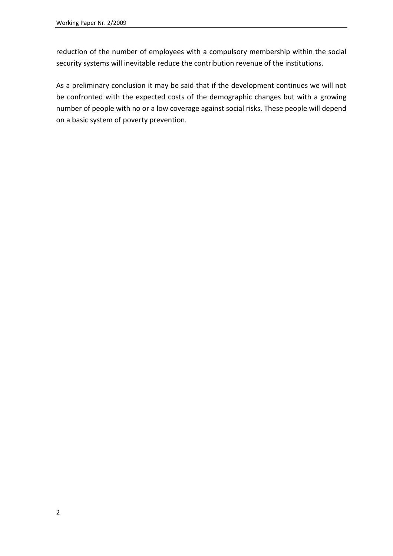reduction of the number of employees with a compulsory membership within the social security systems will inevitable reduce the contribution revenue of the institutions.

As a preliminary conclusion it may be said that if the development continues we will not be confronted with the expected costs of the demographic changes but with a growing number of people with no or a low coverage against social risks. These people will depend on a basic system of poverty prevention.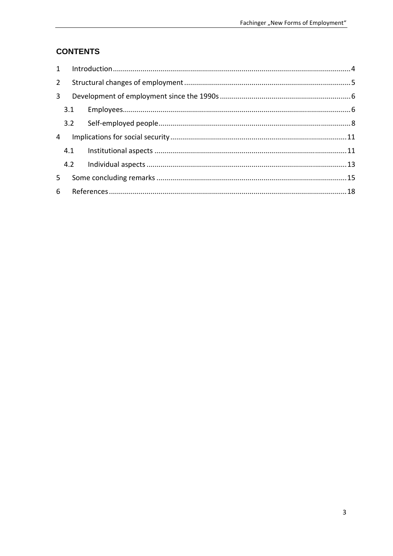# **CONTENTS**

|                | $2^{\circ}$    |  |  |
|----------------|----------------|--|--|
| 3 <sup>1</sup> |                |  |  |
| 4              |                |  |  |
|                |                |  |  |
|                |                |  |  |
|                |                |  |  |
|                |                |  |  |
| 5              |                |  |  |
|                | 6 <sup>1</sup> |  |  |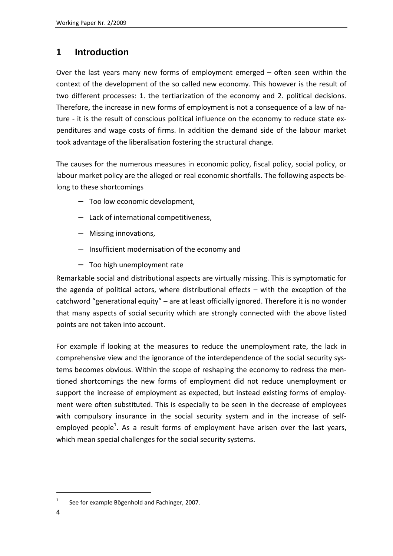# **1 Introduction**

Over the last years many new forms of employment emerged – often seen within the context of the development of the so called new economy. This however is the result of two different processes: 1. the tertiarization of the economy and 2. political decisions. Therefore, the increase in new forms of employment is not a consequence of a law of nature - it is the result of conscious political influence on the economy to reduce state expenditures and wage costs of firms. In addition the demand side of the labour market took advantage of the liberalisation fostering the structural change.

The causes for the numerous measures in economic policy, fiscal policy, social policy, or labour market policy are the alleged or real economic shortfalls. The following aspects belong to these shortcomings

- − Too low economic development,
- − Lack of international competitiveness,
- − Missing innovations,
- − Insufficient modernisation of the economy and
- − Too high unemployment rate

Remarkable social and distributional aspects are virtually missing. This is symptomatic for the agenda of political actors, where distributional effects – with the exception of the catchword "generational equity" – are at least officially ignored. Therefore it is no wonder that many aspects of social security which are strongly connected with the above listed points are not taken into account.

For example if looking at the measures to reduce the unemployment rate, the lack in comprehensive view and the ignorance of the interdependence of the social security systems becomes obvious. Within the scope of reshaping the economy to redress the mentioned shortcomings the new forms of employment did not reduce unemployment or support the increase of employment as expected, but instead existing forms of employment were often substituted. This is especially to be seen in the decrease of employees with compulsory insurance in the social security system and in the increase of selfemployed people<sup>1</sup>. As a result forms of employment have arisen over the last years, which mean special challenges for the social security systems.

<sup>1</sup> See for example Bögenhold and Fachinger, 2007.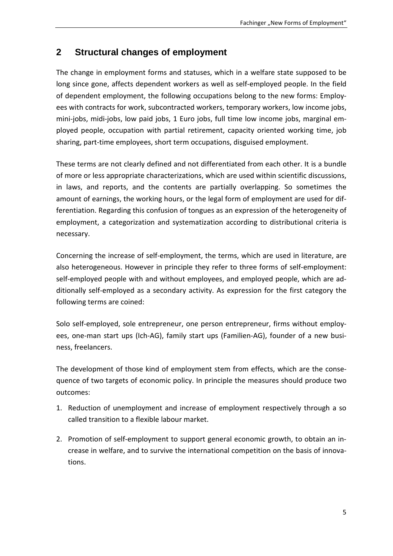# **2 Structural changes of employment**

The change in employment forms and statuses, which in a welfare state supposed to be long since gone, affects dependent workers as well as self-employed people. In the field of dependent employment, the following occupations belong to the new forms: Employees with contracts for work, subcontracted workers, temporary workers, low income jobs, mini-jobs, midi-jobs, low paid jobs, 1 Euro jobs, full time low income jobs, marginal employed people, occupation with partial retirement, capacity oriented working time, job sharing, part-time employees, short term occupations, disguised employment.

These terms are not clearly defined and not differentiated from each other. It is a bundle of more or less appropriate characterizations, which are used within scientific discussions, in laws, and reports, and the contents are partially overlapping. So sometimes the amount of earnings, the working hours, or the legal form of employment are used for differentiation. Regarding this confusion of tongues as an expression of the heterogeneity of employment, a categorization and systematization according to distributional criteria is necessary.

Concerning the increase of self-employment, the terms, which are used in literature, are also heterogeneous. However in principle they refer to three forms of self-employment: self-employed people with and without employees, and employed people, which are additionally self-employed as a secondary activity. As expression for the first category the following terms are coined:

Solo self-employed, sole entrepreneur, one person entrepreneur, firms without employees, one-man start ups (Ich-AG), family start ups (Familien-AG), founder of a new business, freelancers.

The development of those kind of employment stem from effects, which are the consequence of two targets of economic policy. In principle the measures should produce two outcomes:

- 1. Reduction of unemployment and increase of employment respectively through a so called transition to a flexible labour market.
- 2. Promotion of self-employment to support general economic growth, to obtain an increase in welfare, and to survive the international competition on the basis of innovations.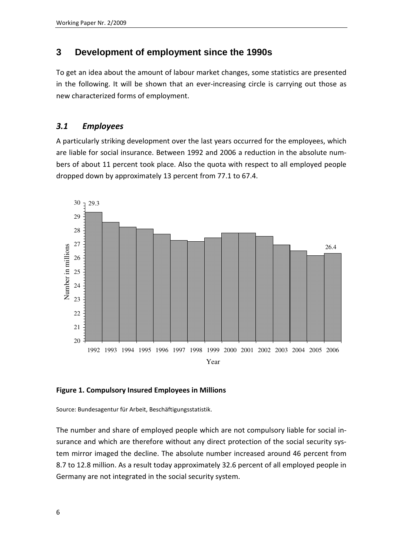# **3 Development of employment since the 1990s**

To get an idea about the amount of labour market changes, some statistics are presented in the following. It will be shown that an ever-increasing circle is carrying out those as new characterized forms of employment.

# *3.1 Employees*

A particularly striking development over the last years occurred for the employees, which are liable for social insurance. Between 1992 and 2006 a reduction in the absolute numbers of about 11 percent took place. Also the quota with respect to all employed people dropped down by approximately 13 percent from 77.1 to 67.4.



#### **Figure 1. Compulsory Insured Employees in Millions**

Source: Bundesagentur für Arbeit, Beschäftigungsstatistik.

The number and share of employed people which are not compulsory liable for social insurance and which are therefore without any direct protection of the social security system mirror imaged the decline. The absolute number increased around 46 percent from 8.7 to 12.8 million. As a result today approximately 32.6 percent of all employed people in Germany are not integrated in the social security system.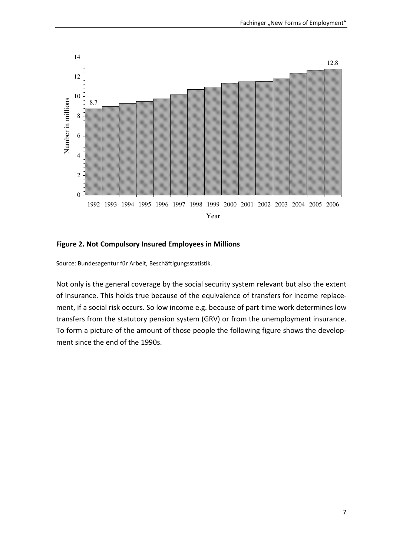

#### **Figure 2. Not Compulsory Insured Employees in Millions**

Source: Bundesagentur für Arbeit, Beschäftigungsstatistik.

Not only is the general coverage by the social security system relevant but also the extent of insurance. This holds true because of the equivalence of transfers for income replacement, if a social risk occurs. So low income e.g. because of part-time work determines low transfers from the statutory pension system (GRV) or from the unemployment insurance. To form a picture of the amount of those people the following figure shows the development since the end of the 1990s.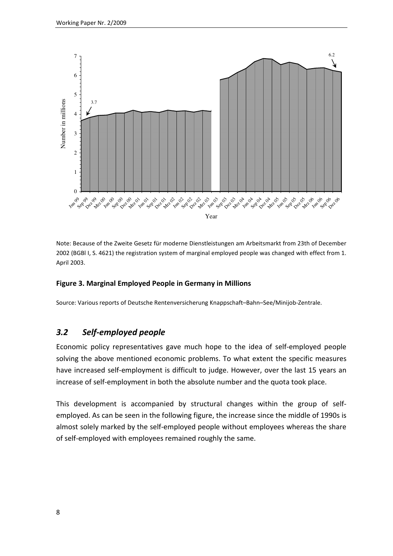

Note: Because of the Zweite Gesetz für moderne Dienstleistungen am Arbeitsmarkt from 23th of December 2002 (BGBl I, S. 4621) the registration system of marginal employed people was changed with effect from 1. April 2003.

#### **Figure 3. Marginal Employed People in Germany in Millions**

Source: Various reports of Deutsche Rentenversicherung Knappschaft–Bahn–See/Minijob-Zentrale.

# *3.2 Self-employed people*

Economic policy representatives gave much hope to the idea of self-employed people solving the above mentioned economic problems. To what extent the specific measures have increased self-employment is difficult to judge. However, over the last 15 years an increase of self-employment in both the absolute number and the quota took place.

This development is accompanied by structural changes within the group of selfemployed. As can be seen in the following figure, the increase since the middle of 1990s is almost solely marked by the self-employed people without employees whereas the share of self-employed with employees remained roughly the same.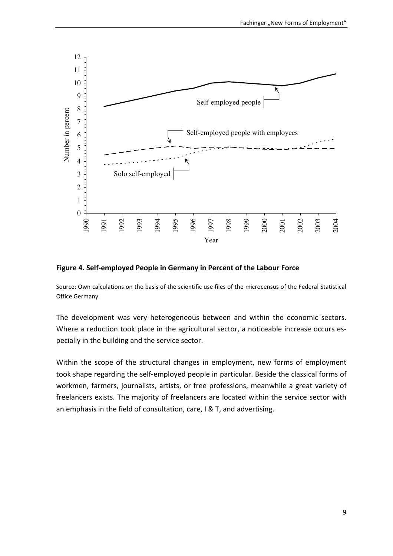

**Figure 4. Self-employed People in Germany in Percent of the Labour Force** 

Source: Own calculations on the basis of the scientific use files of the microcensus of the Federal Statistical Office Germany.

The development was very heterogeneous between and within the economic sectors. Where a reduction took place in the agricultural sector, a noticeable increase occurs especially in the building and the service sector.

Within the scope of the structural changes in employment, new forms of employment took shape regarding the self-employed people in particular. Beside the classical forms of workmen, farmers, journalists, artists, or free professions, meanwhile a great variety of freelancers exists. The majority of freelancers are located within the service sector with an emphasis in the field of consultation, care, I & T, and advertising.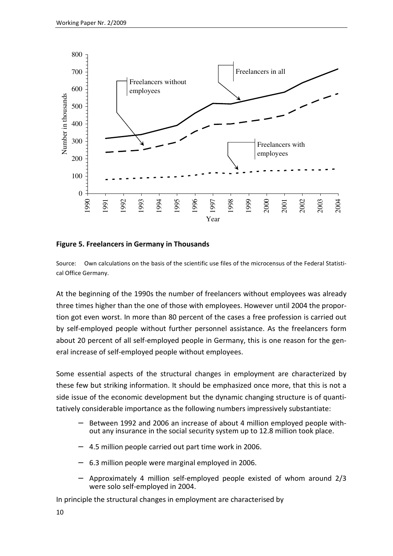

#### **Figure 5. Freelancers in Germany in Thousands**

Source: Own calculations on the basis of the scientific use files of the microcensus of the Federal Statistical Office Germany.

At the beginning of the 1990s the number of freelancers without employees was already three times higher than the one of those with employees. However until 2004 the proportion got even worst. In more than 80 percent of the cases a free profession is carried out by self-employed people without further personnel assistance. As the freelancers form about 20 percent of all self-employed people in Germany, this is one reason for the general increase of self-employed people without employees.

Some essential aspects of the structural changes in employment are characterized by these few but striking information. It should be emphasized once more, that this is not a side issue of the economic development but the dynamic changing structure is of quantitatively considerable importance as the following numbers impressively substantiate:

- − Between 1992 and 2006 an increase of about 4 million employed people without any insurance in the social security system up to 12.8 million took place.
- − 4.5 million people carried out part time work in 2006.
- − 6.3 million people were marginal employed in 2006.
- − Approximately 4 million self-employed people existed of whom around 2/3 were solo self-employed in 2004.

In principle the structural changes in employment are characterised by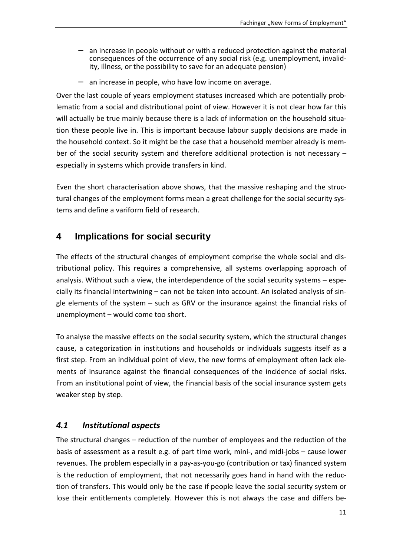- − an increase in people without or with a reduced protection against the material consequences of the occurrence of any social risk (e.g. unemployment, invalidity, illness, or the possibility to save for an adequate pension)
- − an increase in people, who have low income on average.

Over the last couple of years employment statuses increased which are potentially problematic from a social and distributional point of view. However it is not clear how far this will actually be true mainly because there is a lack of information on the household situation these people live in. This is important because labour supply decisions are made in the household context. So it might be the case that a household member already is member of the social security system and therefore additional protection is not necessary – especially in systems which provide transfers in kind.

Even the short characterisation above shows, that the massive reshaping and the structural changes of the employment forms mean a great challenge for the social security systems and define a variform field of research.

# **4 Implications for social security**

The effects of the structural changes of employment comprise the whole social and distributional policy. This requires a comprehensive, all systems overlapping approach of analysis. Without such a view, the interdependence of the social security systems – especially its financial intertwining – can not be taken into account. An isolated analysis of single elements of the system – such as GRV or the insurance against the financial risks of unemployment – would come too short.

To analyse the massive effects on the social security system, which the structural changes cause, a categorization in institutions and households or individuals suggests itself as a first step. From an individual point of view, the new forms of employment often lack elements of insurance against the financial consequences of the incidence of social risks. From an institutional point of view, the financial basis of the social insurance system gets weaker step by step.

## *4.1 Institutional aspects*

The structural changes – reduction of the number of employees and the reduction of the basis of assessment as a result e.g. of part time work, mini-, and midi-jobs – cause lower revenues. The problem especially in a pay-as-you-go (contribution or tax) financed system is the reduction of employment, that not necessarily goes hand in hand with the reduction of transfers. This would only be the case if people leave the social security system or lose their entitlements completely. However this is not always the case and differs be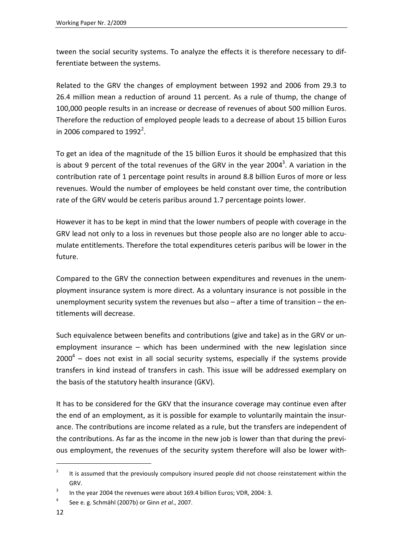tween the social security systems. To analyze the effects it is therefore necessary to differentiate between the systems.

Related to the GRV the changes of employment between 1992 and 2006 from 29.3 to 26.4 million mean a reduction of around 11 percent. As a rule of thump, the change of 100,000 people results in an increase or decrease of revenues of about 500 million Euros. Therefore the reduction of employed people leads to a decrease of about 15 billion Euros in 2006 compared to  $1992^2$ .

To get an idea of the magnitude of the 15 billion Euros it should be emphasized that this is about 9 percent of the total revenues of the GRV in the year 2004<sup>3</sup>. A variation in the contribution rate of 1 percentage point results in around 8.8 billion Euros of more or less revenues. Would the number of employees be held constant over time, the contribution rate of the GRV would be ceteris paribus around 1.7 percentage points lower.

However it has to be kept in mind that the lower numbers of people with coverage in the GRV lead not only to a loss in revenues but those people also are no longer able to accumulate entitlements. Therefore the total expenditures ceteris paribus will be lower in the future.

Compared to the GRV the connection between expenditures and revenues in the unemployment insurance system is more direct. As a voluntary insurance is not possible in the unemployment security system the revenues but also – after a time of transition – the entitlements will decrease.

Such equivalence between benefits and contributions (give and take) as in the GRV or unemployment insurance – which has been undermined with the new legislation since  $2000<sup>4</sup>$  – does not exist in all social security systems, especially if the systems provide transfers in kind instead of transfers in cash. This issue will be addressed exemplary on the basis of the statutory health insurance (GKV).

It has to be considered for the GKV that the insurance coverage may continue even after the end of an employment, as it is possible for example to voluntarily maintain the insurance. The contributions are income related as a rule, but the transfers are independent of the contributions. As far as the income in the new job is lower than that during the previous employment, the revenues of the security system therefore will also be lower with-

<sup>2</sup> It is assumed that the previously compulsory insured people did not choose reinstatement within the GRV.

<sup>3</sup> In the year 2004 the revenues were about 169.4 billion Euros; VDR, 2004: 3.

<sup>4</sup> See e. g. Schmähl (2007b) or Ginn *et al.*, 2007.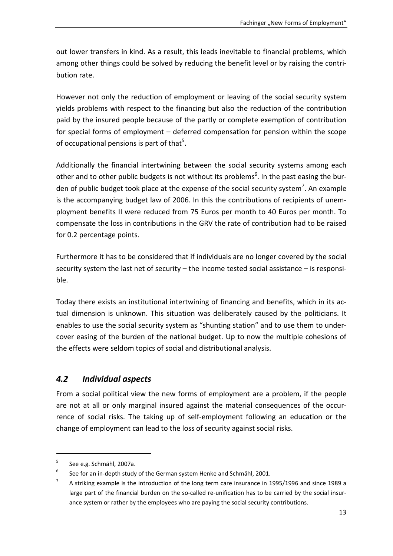out lower transfers in kind. As a result, this leads inevitable to financial problems, which among other things could be solved by reducing the benefit level or by raising the contribution rate.

However not only the reduction of employment or leaving of the social security system yields problems with respect to the financing but also the reduction of the contribution paid by the insured people because of the partly or complete exemption of contribution for special forms of employment – deferred compensation for pension within the scope of occupational pensions is part of that<sup>5</sup>.

Additionally the financial intertwining between the social security systems among each other and to other public budgets is not without its problems<sup>6</sup>. In the past easing the burden of public budget took place at the expense of the social security system<sup>7</sup>. An example is the accompanying budget law of 2006. In this the contributions of recipients of unemployment benefits II were reduced from 75 Euros per month to 40 Euros per month. To compensate the loss in contributions in the GRV the rate of contribution had to be raised for 0.2 percentage points.

Furthermore it has to be considered that if individuals are no longer covered by the social security system the last net of security – the income tested social assistance – is responsible.

Today there exists an institutional intertwining of financing and benefits, which in its actual dimension is unknown. This situation was deliberately caused by the politicians. It enables to use the social security system as "shunting station" and to use them to undercover easing of the burden of the national budget. Up to now the multiple cohesions of the effects were seldom topics of social and distributional analysis.

## *4.2 Individual aspects*

From a social political view the new forms of employment are a problem, if the people are not at all or only marginal insured against the material consequences of the occurrence of social risks. The taking up of self-employment following an education or the change of employment can lead to the loss of security against social risks.

<sup>5</sup> See e.g. Schmähl, 2007a.

<sup>6</sup> See for an in-depth study of the German system Henke and Schmähl, 2001.

<sup>7</sup> A striking example is the introduction of the long term care insurance in 1995/1996 and since 1989 a large part of the financial burden on the so-called re-unification has to be carried by the social insurance system or rather by the employees who are paying the social security contributions.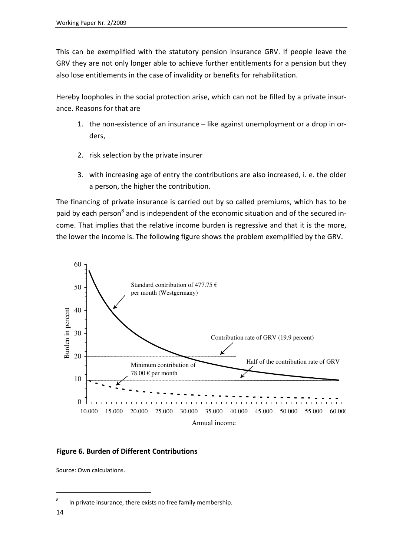This can be exemplified with the statutory pension insurance GRV. If people leave the GRV they are not only longer able to achieve further entitlements for a pension but they also lose entitlements in the case of invalidity or benefits for rehabilitation.

Hereby loopholes in the social protection arise, which can not be filled by a private insurance. Reasons for that are

- 1. the non-existence of an insurance like against unemployment or a drop in orders,
- 2. risk selection by the private insurer
- 3. with increasing age of entry the contributions are also increased, i. e. the older a person, the higher the contribution.

The financing of private insurance is carried out by so called premiums, which has to be paid by each person<sup>8</sup> and is independent of the economic situation and of the secured income. That implies that the relative income burden is regressive and that it is the more, the lower the income is. The following figure shows the problem exemplified by the GRV.



#### **Figure 6. Burden of Different Contributions**

Source: Own calculations.

<sup>8</sup> In private insurance, there exists no free family membership.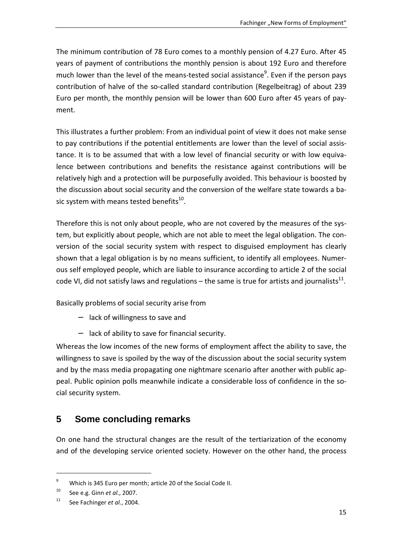The minimum contribution of 78 Euro comes to a monthly pension of 4.27 Euro. After 45 years of payment of contributions the monthly pension is about 192 Euro and therefore much lower than the level of the means-tested social assistance<sup>9</sup>. Even if the person pays contribution of halve of the so-called standard contribution (Regelbeitrag) of about 239 Euro per month, the monthly pension will be lower than 600 Euro after 45 years of payment.

This illustrates a further problem: From an individual point of view it does not make sense to pay contributions if the potential entitlements are lower than the level of social assistance. It is to be assumed that with a low level of financial security or with low equivalence between contributions and benefits the resistance against contributions will be relatively high and a protection will be purposefully avoided. This behaviour is boosted by the discussion about social security and the conversion of the welfare state towards a basic system with means tested benefits<sup>10</sup>.

Therefore this is not only about people, who are not covered by the measures of the system, but explicitly about people, which are not able to meet the legal obligation. The conversion of the social security system with respect to disguised employment has clearly shown that a legal obligation is by no means sufficient, to identify all employees. Numerous self employed people, which are liable to insurance according to article 2 of the social code VI, did not satisfy laws and regulations – the same is true for artists and journalists $^{11}$ .

Basically problems of social security arise from

- − lack of willingness to save and
- − lack of ability to save for financial security.

Whereas the low incomes of the new forms of employment affect the ability to save, the willingness to save is spoiled by the way of the discussion about the social security system and by the mass media propagating one nightmare scenario after another with public appeal. Public opinion polls meanwhile indicate a considerable loss of confidence in the social security system.

# **5 Some concluding remarks**

On one hand the structural changes are the result of the tertiarization of the economy and of the developing service oriented society. However on the other hand, the process

 $\overline{9}$ Which is 345 Euro per month; article 20 of the Social Code II.

<sup>10</sup> See e.g. Ginn *et al.*, 2007.

<sup>11</sup> See Fachinger *et al.*, 2004.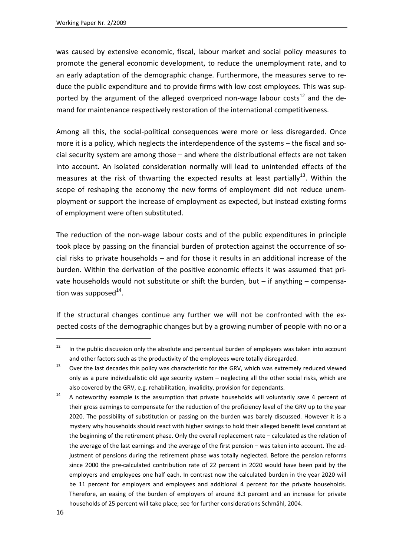was caused by extensive economic, fiscal, labour market and social policy measures to promote the general economic development, to reduce the unemployment rate, and to an early adaptation of the demographic change. Furthermore, the measures serve to reduce the public expenditure and to provide firms with low cost employees. This was supported by the argument of the alleged overpriced non-wage labour costs<sup>12</sup> and the demand for maintenance respectively restoration of the international competitiveness.

Among all this, the social-political consequences were more or less disregarded. Once more it is a policy, which neglects the interdependence of the systems – the fiscal and social security system are among those – and where the distributional effects are not taken into account. An isolated consideration normally will lead to unintended effects of the measures at the risk of thwarting the expected results at least partially<sup>13</sup>. Within the scope of reshaping the economy the new forms of employment did not reduce unemployment or support the increase of employment as expected, but instead existing forms of employment were often substituted.

The reduction of the non-wage labour costs and of the public expenditures in principle took place by passing on the financial burden of protection against the occurrence of social risks to private households – and for those it results in an additional increase of the burden. Within the derivation of the positive economic effects it was assumed that private households would not substitute or shift the burden, but  $-$  if anything  $-$  compensation was supposed $^{14}$ .

If the structural changes continue any further we will not be confronted with the expected costs of the demographic changes but by a growing number of people with no or a

j

 $12$  In the public discussion only the absolute and percentual burden of employers was taken into account and other factors such as the productivity of the employees were totally disregarded.

<sup>&</sup>lt;sup>13</sup> Over the last decades this policy was characteristic for the GRV, which was extremely reduced viewed only as a pure individualistic old age security system – neglecting all the other social risks, which are also covered by the GRV, e.g. rehabilitation, invalidity, provision for dependants.

<sup>&</sup>lt;sup>14</sup> A noteworthy example is the assumption that private households will voluntarily save 4 percent of their gross earnings to compensate for the reduction of the proficiency level of the GRV up to the year 2020. The possibility of substitution or passing on the burden was barely discussed. However it is a mystery why households should react with higher savings to hold their alleged benefit level constant at the beginning of the retirement phase. Only the overall replacement rate – calculated as the relation of the average of the last earnings and the average of the first pension – was taken into account. The adjustment of pensions during the retirement phase was totally neglected. Before the pension reforms since 2000 the pre-calculated contribution rate of 22 percent in 2020 would have been paid by the employers and employees one half each. In contrast now the calculated burden in the year 2020 will be 11 percent for employers and employees and additional 4 percent for the private households. Therefore, an easing of the burden of employers of around 8.3 percent and an increase for private households of 25 percent will take place; see for further considerations Schmähl, 2004.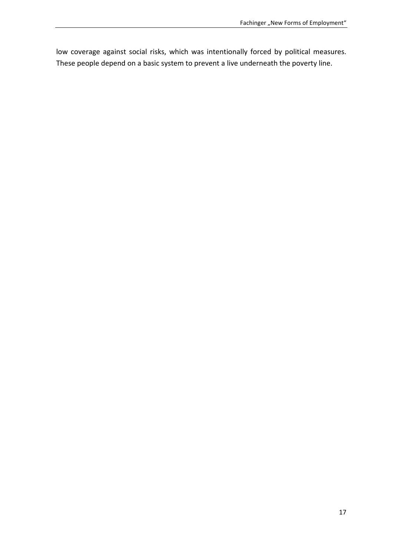low coverage against social risks, which was intentionally forced by political measures. These people depend on a basic system to prevent a live underneath the poverty line.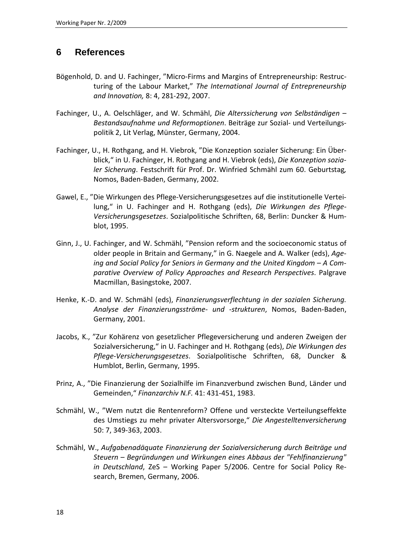# **6 References**

- Bögenhold, D. and U. Fachinger, "Micro-Firms and Margins of Entrepreneurship: Restructuring of the Labour Market," *The International Journal of Entrepreneurship and Innovation,* 8: 4, 281-292, 2007.
- Fachinger, U., A. Oelschläger, and W. Schmähl, *Die Alterssicherung von Selbständigen Bestandsaufnahme und Reformoptionen*. Beiträge zur Sozial- und Verteilungspolitik 2, Lit Verlag, Münster, Germany, 2004.
- Fachinger, U., H. Rothgang, and H. Viebrok, "Die Konzeption sozialer Sicherung: Ein Überblick," in U. Fachinger, H. Rothgang and H. Viebrok (eds), *Die Konzeption sozialer Sicherung*. Festschrift für Prof. Dr. Winfried Schmähl zum 60. Geburtstag*,* Nomos, Baden-Baden, Germany, 2002.
- Gawel, E., "Die Wirkungen des Pflege-Versicherungsgesetzes auf die institutionelle Verteilung," in U. Fachinger and H. Rothgang (eds), *Die Wirkungen des Pflege-Versicherungsgesetzes*. Sozialpolitische Schriften, 68, Berlin: Duncker & Humblot, 1995.
- Ginn, J., U. Fachinger, and W. Schmähl, "Pension reform and the socioeconomic status of older people in Britain and Germany," in G. Naegele and A. Walker (eds), *Ageing and Social Policy for Seniors in Germany and the United Kingdom – A Comparative Overview of Policy Approaches and Research Perspectives*. Palgrave Macmillan, Basingstoke, 2007.
- Henke, K.-D. and W. Schmähl (eds), *Finanzierungsverflechtung in der sozialen Sicherung. Analyse der Finanzierungsströme- und -strukturen*, Nomos, Baden-Baden, Germany, 2001.
- Jacobs, K., "Zur Kohärenz von gesetzlicher Pflegeversicherung und anderen Zweigen der Sozialversicherung," in U. Fachinger and H. Rothgang (eds), *Die Wirkungen des Pflege-Versicherungsgesetzes*. Sozialpolitische Schriften, 68, Duncker & Humblot, Berlin, Germany, 1995.
- Prinz, A., "Die Finanzierung der Sozialhilfe im Finanzverbund zwischen Bund, Länder und Gemeinden," *Finanzarchiv N.F.* 41: 431-451, 1983.
- Schmähl, W., "Wem nutzt die Rentenreform? Offene und versteckte Verteilungseffekte des Umstiegs zu mehr privater Altersvorsorge," *Die Angestelltenversicherung* 50: 7, 349-363, 2003.
- Schmähl, W., *Aufgabenadäquate Finanzierung der Sozialversicherung durch Beiträge und Steuern – Begründungen und Wirkungen eines Abbaus der "Fehlfinanzierung" in Deutschland*, ZeS – Working Paper 5/2006. Centre for Social Policy Research, Bremen, Germany, 2006.